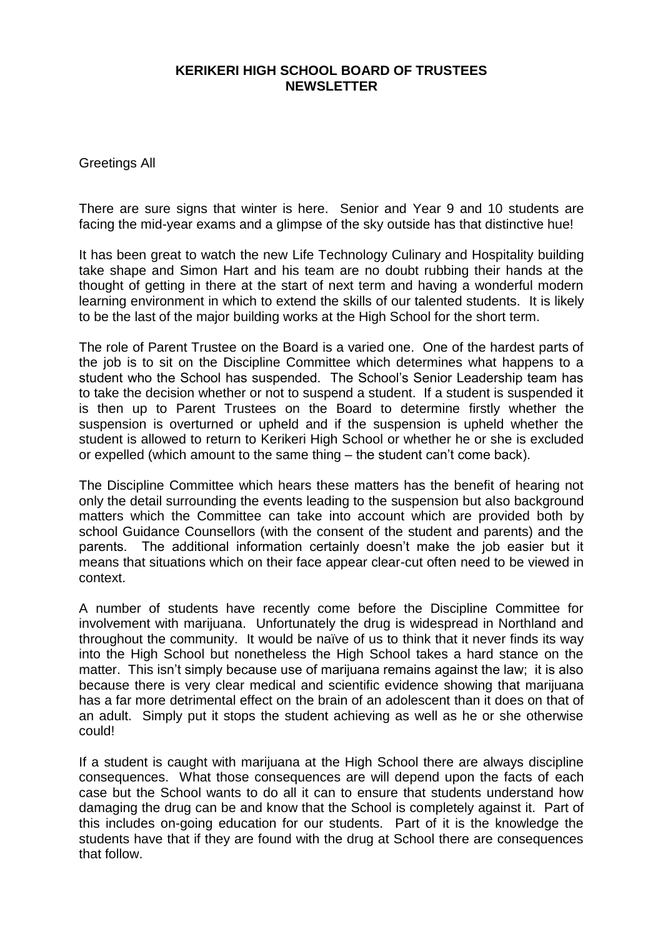## **KERIKERI HIGH SCHOOL BOARD OF TRUSTEES NEWSLETTER**

Greetings All

There are sure signs that winter is here. Senior and Year 9 and 10 students are facing the mid-year exams and a glimpse of the sky outside has that distinctive hue!

It has been great to watch the new Life Technology Culinary and Hospitality building take shape and Simon Hart and his team are no doubt rubbing their hands at the thought of getting in there at the start of next term and having a wonderful modern learning environment in which to extend the skills of our talented students. It is likely to be the last of the major building works at the High School for the short term.

The role of Parent Trustee on the Board is a varied one. One of the hardest parts of the job is to sit on the Discipline Committee which determines what happens to a student who the School has suspended. The School's Senior Leadership team has to take the decision whether or not to suspend a student. If a student is suspended it is then up to Parent Trustees on the Board to determine firstly whether the suspension is overturned or upheld and if the suspension is upheld whether the student is allowed to return to Kerikeri High School or whether he or she is excluded or expelled (which amount to the same thing – the student can't come back).

The Discipline Committee which hears these matters has the benefit of hearing not only the detail surrounding the events leading to the suspension but also background matters which the Committee can take into account which are provided both by school Guidance Counsellors (with the consent of the student and parents) and the parents. The additional information certainly doesn't make the job easier but it means that situations which on their face appear clear-cut often need to be viewed in context.

A number of students have recently come before the Discipline Committee for involvement with marijuana. Unfortunately the drug is widespread in Northland and throughout the community. It would be naïve of us to think that it never finds its way into the High School but nonetheless the High School takes a hard stance on the matter. This isn't simply because use of marijuana remains against the law; it is also because there is very clear medical and scientific evidence showing that marijuana has a far more detrimental effect on the brain of an adolescent than it does on that of an adult. Simply put it stops the student achieving as well as he or she otherwise could!

If a student is caught with marijuana at the High School there are always discipline consequences. What those consequences are will depend upon the facts of each case but the School wants to do all it can to ensure that students understand how damaging the drug can be and know that the School is completely against it. Part of this includes on-going education for our students. Part of it is the knowledge the students have that if they are found with the drug at School there are consequences that follow.